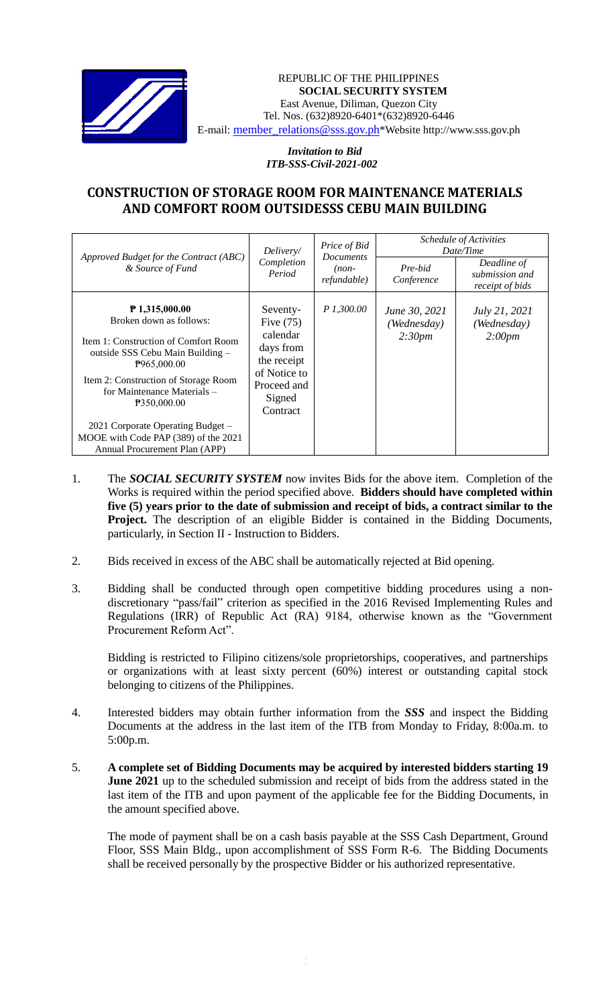

## REPUBLIC OF THE PHILIPPINES **SOCIAL SECURITY SYSTEM** East Avenue, Diliman, Quezon City Tel. Nos. (632)8920-6401\*(632)8920-6446 E-mail: member\_relations@sss.gov.ph\*Website http://www.sss.gov.ph

*Invitation to Bid ITB-SSS-Civil-2021-002*

## **CONSTRUCTION OF STORAGE ROOM FOR MAINTENANCE MATERIALS AND COMFORT ROOM OUTSIDESSS CEBU MAIN BUILDING**

| Approved Budget for the Contract (ABC)<br>& Source of Fund                                                                                                                    | Delivery/<br>Completion<br>Period                                                         | Price of Bid<br><b>Documents</b><br>$(non-$<br><i>refundable</i> ) | Schedule of Activities<br>Date/Time |                                                  |
|-------------------------------------------------------------------------------------------------------------------------------------------------------------------------------|-------------------------------------------------------------------------------------------|--------------------------------------------------------------------|-------------------------------------|--------------------------------------------------|
|                                                                                                                                                                               |                                                                                           |                                                                    | Pre-bid<br>Conference               | Deadline of<br>submission and<br>receipt of bids |
| $P$ 1,315,000.00<br>Broken down as follows:                                                                                                                                   | Seventy-<br>Five $(75)$                                                                   | P 1,300.00                                                         | June 30, 2021<br>(Wednesday)        | <i>July 21, 2021</i><br>(Wednesday)              |
| Item 1: Construction of Comfort Room<br>outside SSS Cebu Main Building –<br>P965,000.00<br>Item 2: Construction of Storage Room<br>for Maintenance Materials –<br>P350,000.00 | calendar<br>days from<br>the receipt<br>of Notice to<br>Proceed and<br>Signed<br>Contract |                                                                    | 2:30pm                              | 2:00pm                                           |
| 2021 Corporate Operating Budget -<br>MOOE with Code PAP (389) of the 2021<br>Annual Procurement Plan (APP)                                                                    |                                                                                           |                                                                    |                                     |                                                  |

- 1. The *SOCIAL SECURITY SYSTEM* now invites Bids for the above item. Completion of the Works is required within the period specified above. **Bidders should have completed within five (5) years prior to the date of submission and receipt of bids, a contract similar to the**  Project. The description of an eligible Bidder is contained in the Bidding Documents, particularly, in Section II - Instruction to Bidders.
- 2. Bids received in excess of the ABC shall be automatically rejected at Bid opening.
- 3. Bidding shall be conducted through open competitive bidding procedures using a nondiscretionary "pass/fail" criterion as specified in the 2016 Revised Implementing Rules and Regulations (IRR) of Republic Act (RA) 9184, otherwise known as the "Government Procurement Reform Act".

Bidding is restricted to Filipino citizens/sole proprietorships, cooperatives, and partnerships or organizations with at least sixty percent (60%) interest or outstanding capital stock belonging to citizens of the Philippines.

- 4. Interested bidders may obtain further information from the *SSS* and inspect the Bidding Documents at the address in the last item of the ITB from Monday to Friday, 8:00a.m. to 5:00p.m.
- 5. **A complete set of Bidding Documents may be acquired by interested bidders starting 19 June 2021** up to the scheduled submission and receipt of bids from the address stated in the last item of the ITB and upon payment of the applicable fee for the Bidding Documents, in the amount specified above.

The mode of payment shall be on a cash basis payable at the SSS Cash Department, Ground Floor, SSS Main Bldg., upon accomplishment of SSS Form R-6. The Bidding Documents shall be received personally by the prospective Bidder or his authorized representative.